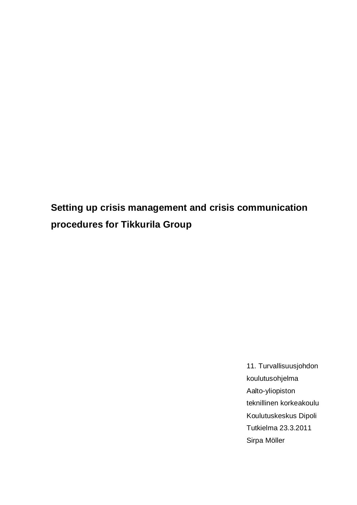<span id="page-0-0"></span>**Setting up crisis management and crisis communication procedures for Tikkurila Group**

> 11. Turvallisuusjohdon koulutusohjelma Aalto-yliopiston teknillinen korkeakoulu Koulutuskeskus Dipoli Tutkielma 23.3.2011 Sirpa Möller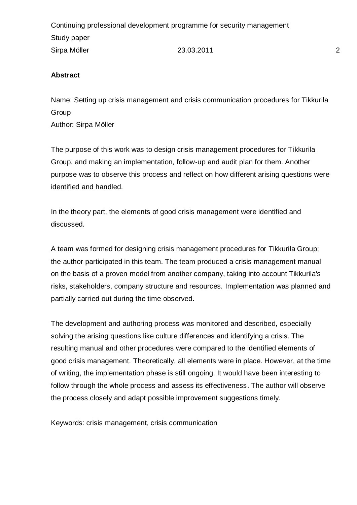### **Abstract**

Name: Setting up crisis management and crisis communication procedures for Tikkurila Group

Author: Sirpa Möller

The purpose of this work was to design crisis management procedures for Tikkurila Group, and making an implementation, follow-up and audit plan for them. Another purpose was to observe this process and reflect on how different arising questions were identified and handled.

In the theory part, the elements of good crisis management were identified and discussed.

A team was formed for designing crisis management procedures for Tikkurila Group; the author participated in this team. The team produced a crisis management manual on the basis of a proven model from another company, taking into account Tikkurila's risks, stakeholders, company structure and resources. Implementation was planned and partially carried out during the time observed.

The development and authoring process was monitored and described, especially solving the arising questions like culture differences and identifying a crisis. The resulting manual and other procedures were compared to the identified elements of good crisis management. Theoretically, all elements were in place. However, at the time of writing, the implementation phase is still ongoing. It would have been interesting to follow through the whole process and assess its effectiveness. The author will observe the process closely and adapt possible improvement suggestions timely.

Keywords: crisis management, crisis communication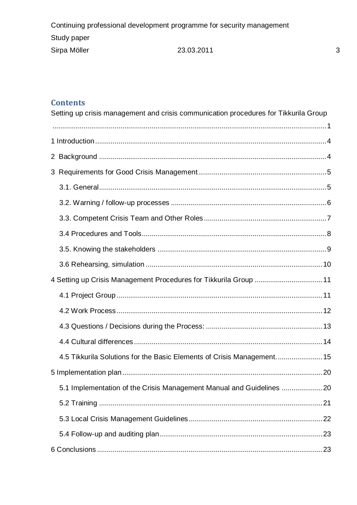# **Contents**

| Setting up crisis management and crisis communication procedures for Tikkurila Group |  |
|--------------------------------------------------------------------------------------|--|
|                                                                                      |  |
|                                                                                      |  |
|                                                                                      |  |
|                                                                                      |  |
|                                                                                      |  |
|                                                                                      |  |
|                                                                                      |  |
|                                                                                      |  |
|                                                                                      |  |
|                                                                                      |  |
| 4 Setting up Crisis Management Procedures for Tikkurila Group  11                    |  |
|                                                                                      |  |
|                                                                                      |  |
|                                                                                      |  |
|                                                                                      |  |
| 4.5 Tikkurila Solutions for the Basic Elements of Crisis Management 15               |  |
|                                                                                      |  |
| 5.1 Implementation of the Crisis Management Manual and Guidelines 20                 |  |
|                                                                                      |  |
|                                                                                      |  |
|                                                                                      |  |
|                                                                                      |  |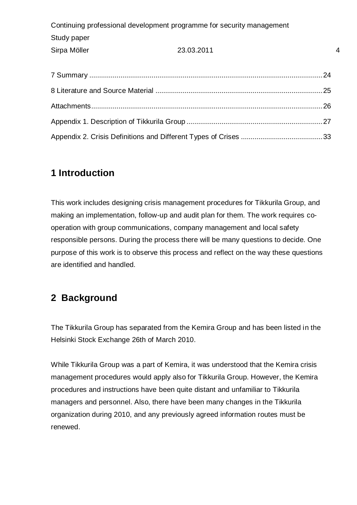# <span id="page-3-0"></span>**1 Introduction**

This work includes designing crisis management procedures for Tikkurila Group, and making an implementation, follow-up and audit plan for them. The work requires cooperation with group communications, company management and local safety responsible persons. During the process there will be many questions to decide. One purpose of this work is to observe this process and reflect on the way these questions are identified and handled.

# <span id="page-3-1"></span>**2 Background**

The Tikkurila Group has separated from the Kemira Group and has been listed in the Helsinki Stock Exchange 26th of March 2010.

While Tikkurila Group was a part of Kemira, it was understood that the Kemira crisis management procedures would apply also for Tikkurila Group. However, the Kemira procedures and instructions have been quite distant and unfamiliar to Tikkurila managers and personnel. Also, there have been many changes in the Tikkurila organization during 2010, and any previously agreed information routes must be renewed.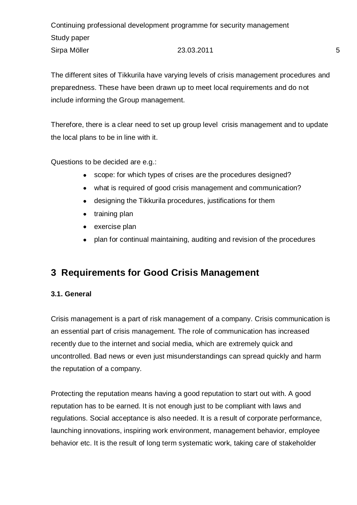The different sites of Tikkurila have varying levels of crisis management procedures and preparedness. These have been drawn up to meet local requirements and do not include informing the Group management.

Therefore, there is a clear need to set up group level crisis management and to update the local plans to be in line with it.

Questions to be decided are e.g.:

- scope: for which types of crises are the procedures designed?
- what is required of good crisis management and communication?
- designing the Tikkurila procedures, justifications for them
- training plan
- exercise plan
- plan for continual maintaining, auditing and revision of the procedures

# <span id="page-4-0"></span>**3 Requirements for Good Crisis Management**

### <span id="page-4-1"></span>**3.1. General**

Crisis management is a part of risk management of a company. Crisis communication is an essential part of crisis management. The role of communication has increased recently due to the internet and social media, which are extremely quick and uncontrolled. Bad news or even just misunderstandings can spread quickly and harm the reputation of a company.

Protecting the reputation means having a good reputation to start out with. A good reputation has to be earned. It is not enough just to be compliant with laws and regulations. Social acceptance is also needed. It is a result of corporate performance, launching innovations, inspiring work environment, management behavior, employee behavior etc. It is the result of long term systematic work, taking care of stakeholder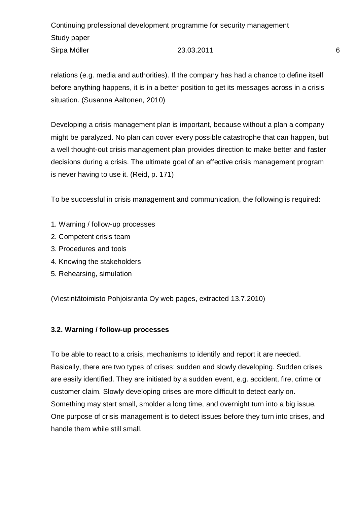Continuing professional development programme for security management Study paper Sirpa Möller 6 1990 123.03.2011 123.03.2011 123.03.2011 123.03.2011 123.03.2011 123.03.2011 123.03.2011 123.03

relations (e.g. media and authorities). If the company has had a chance to define itself before anything happens, it is in a better position to get its messages across in a crisis situation. (Susanna Aaltonen, 2010)

Developing a crisis management plan is important, because without a plan a company might be paralyzed. No plan can cover every possible catastrophe that can happen, but a well thought-out crisis management plan provides direction to make better and faster decisions during a crisis. The ultimate goal of an effective crisis management program is never having to use it. (Reid, p. 171)

To be successful in crisis management and communication, the following is required:

- 1. Warning / follow-up processes
- 2. Competent crisis team
- 3. Procedures and tools
- 4. Knowing the stakeholders
- 5. Rehearsing, simulation

(Viestintätoimisto Pohjoisranta Oy web pages, extracted 13.7.2010)

### <span id="page-5-0"></span>**3.2. Warning / follow-up processes**

To be able to react to a crisis, mechanisms to identify and report it are needed. Basically, there are two types of crises: sudden and slowly developing. Sudden crises are easily identified. They are initiated by a sudden event, e.g. accident, fire, crime or customer claim. Slowly developing crises are more difficult to detect early on. Something may start small, smolder a long time, and overnight turn into a big issue. One purpose of crisis management is to detect issues before they turn into crises, and handle them while still small.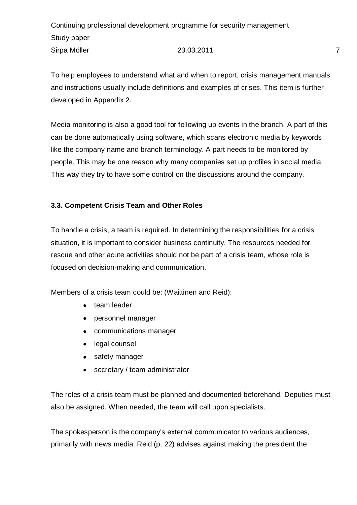To help employees to understand what and when to report, crisis management manuals and instructions usually include definitions and examples of crises. This item is further developed in Appendix 2.

Media monitoring is also a good tool for following up events in the branch. A part of this can be done automatically using software, which scans electronic media by keywords like the company name and branch terminology. A part needs to be monitored by people. This may be one reason why many companies set up profiles in social media. This way they try to have some control on the discussions around the company.

# <span id="page-6-0"></span>**3.3. Competent Crisis Team and Other Roles**

To handle a crisis, a team is required. In determining the responsibilities for a crisis situation, it is important to consider business continuity. The resources needed for rescue and other acute activities should not be part of a crisis team, whose role is focused on decision-making and communication.

Members of a crisis team could be: (Waittinen and Reid):

- team leader
- personnel manager
- communications manager
- legal counsel
- safety manager
- secretary / team administrator

The roles of a crisis team must be planned and documented beforehand. Deputies must also be assigned. When needed, the team will call upon specialists.

The spokesperson is the company's external communicator to various audiences, primarily with news media. Reid (p. 22) advises against making the president the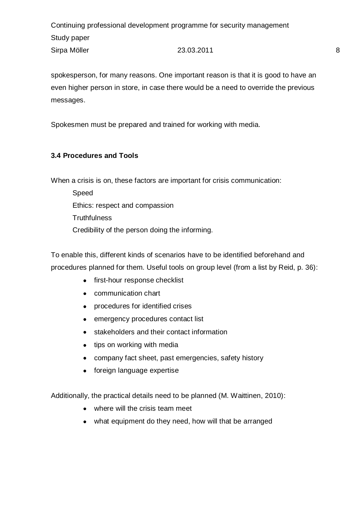spokesperson, for many reasons. One important reason is that it is good to have an even higher person in store, in case there would be a need to override the previous messages.

Spokesmen must be prepared and trained for working with media.

# <span id="page-7-0"></span>**3.4 Procedures and Tools**

When a crisis is on, these factors are important for crisis communication:

Speed Ethics: respect and compassion **Truthfulness** Credibility of the person doing the informing.

To enable this, different kinds of scenarios have to be identified beforehand and procedures planned for them. Useful tools on group level (from a list by Reid, p. 36):

- first-hour response checklist
- communication chart
- procedures for identified crises
- emergency procedures contact list
- stakeholders and their contact information
- tips on working with media
- company fact sheet, past emergencies, safety history
- foreign language expertise

Additionally, the practical details need to be planned (M. Waittinen, 2010):

- where will the crisis team meet
- what equipment do they need, how will that be arranged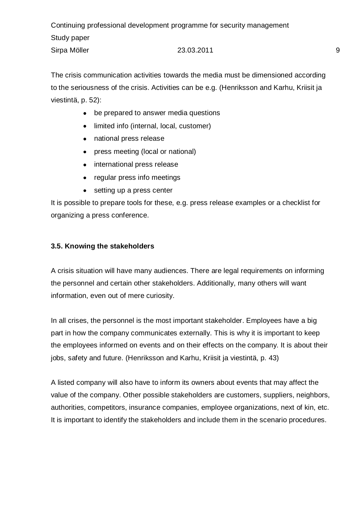The crisis communication activities towards the media must be dimensioned according to the seriousness of the crisis. Activities can be e.g. (Henriksson and Karhu, Kriisit ja viestintä, p. 52):

- be prepared to answer media questions
- $\bullet$ limited info (internal, local, customer)
- national press release
- press meeting (local or national)  $\bullet$
- international press release
- regular press info meetings
- setting up a press center

It is possible to prepare tools for these, e.g. press release examples or a checklist for organizing a press conference.

### <span id="page-8-0"></span>**3.5. Knowing the stakeholders**

A crisis situation will have many audiences. There are legal requirements on informing the personnel and certain other stakeholders. Additionally, many others will want information, even out of mere curiosity.

In all crises, the personnel is the most important stakeholder. Employees have a big part in how the company communicates externally. This is why it is important to keep the employees informed on events and on their effects on the company. It is about their jobs, safety and future. (Henriksson and Karhu, Kriisit ja viestintä, p. 43)

A listed company will also have to inform its owners about events that may affect the value of the company. Other possible stakeholders are customers, suppliers, neighbors, authorities, competitors, insurance companies, employee organizations, next of kin, etc. It is important to identify the stakeholders and include them in the scenario procedures.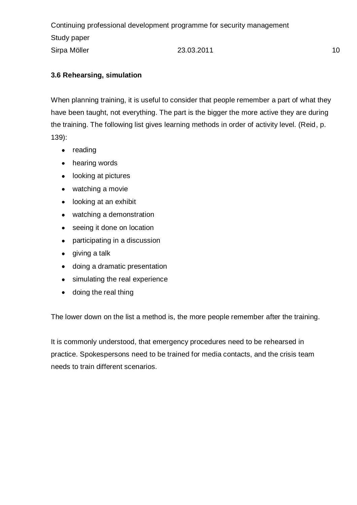# <span id="page-9-0"></span>**3.6 Rehearsing, simulation**

When planning training, it is useful to consider that people remember a part of what they have been taught, not everything. The part is the bigger the more active they are during the training. The following list gives learning methods in order of activity level. (Reid, p. 139):

- reading
- hearing words
- looking at pictures
- watching a movie
- looking at an exhibit
- watching a demonstration
- seeing it done on location
- participating in a discussion
- giving a talk
- doing a dramatic presentation
- simulating the real experience
- doing the real thing

The lower down on the list a method is, the more people remember after the training.

It is commonly understood, that emergency procedures need to be rehearsed in practice. Spokespersons need to be trained for media contacts, and the crisis team needs to train different scenarios.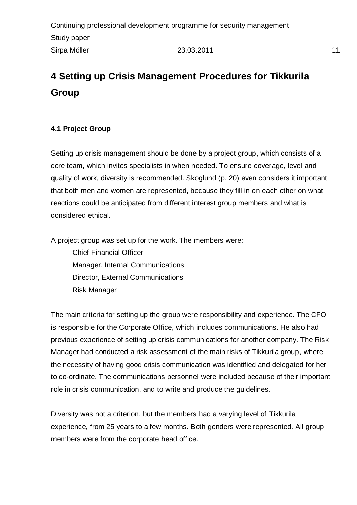# <span id="page-10-0"></span>**4 Setting up Crisis Management Procedures for Tikkurila Group**

# <span id="page-10-1"></span>**4.1 Project Group**

Setting up crisis management should be done by a project group, which consists of a core team, which invites specialists in when needed. To ensure coverage, level and quality of work, diversity is recommended. Skoglund (p. 20) even considers it important that both men and women are represented, because they fill in on each other on what reactions could be anticipated from different interest group members and what is considered ethical.

A project group was set up for the work. The members were:

Chief Financial Officer Manager, Internal Communications Director, External Communications Risk Manager

The main criteria for setting up the group were responsibility and experience. The CFO is responsible for the Corporate Office, which includes communications. He also had previous experience of setting up crisis communications for another company. The Risk Manager had conducted a risk assessment of the main risks of Tikkurila group, where the necessity of having good crisis communication was identified and delegated for her to co-ordinate. The communications personnel were included because of their important role in crisis communication, and to write and produce the guidelines.

Diversity was not a criterion, but the members had a varying level of Tikkurila experience, from 25 years to a few months. Both genders were represented. All group members were from the corporate head office.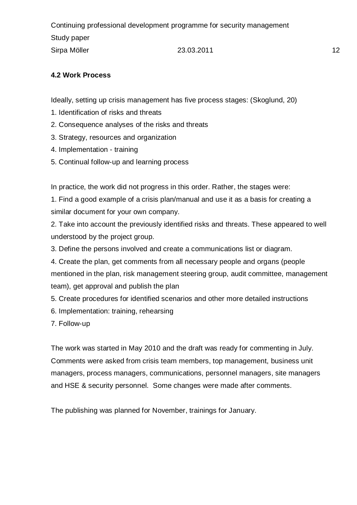### <span id="page-11-0"></span>**4.2 Work Process**

Ideally, setting up crisis management has five process stages: (Skoglund, 20)

- 1. Identification of risks and threats
- 2. Consequence analyses of the risks and threats
- 3. Strategy, resources and organization
- 4. Implementation training
- 5. Continual follow-up and learning process

In practice, the work did not progress in this order. Rather, the stages were:

1. Find a good example of a crisis plan/manual and use it as a basis for creating a similar document for your own company.

2. Take into account the previously identified risks and threats. These appeared to well understood by the project group.

- 3. Define the persons involved and create a communications list or diagram.
- 4. Create the plan, get comments from all necessary people and organs (people mentioned in the plan, risk management steering group, audit committee, management team), get approval and publish the plan
- 5. Create procedures for identified scenarios and other more detailed instructions
- 6. Implementation: training, rehearsing

7. Follow-up

The work was started in May 2010 and the draft was ready for commenting in July. Comments were asked from crisis team members, top management, business unit managers, process managers, communications, personnel managers, site managers and HSE & security personnel. Some changes were made after comments.

The publishing was planned for November, trainings for January.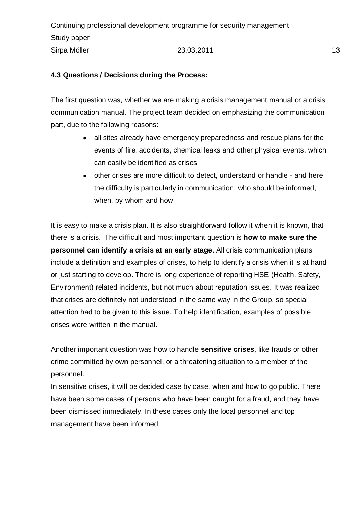### <span id="page-12-0"></span>**4.3 Questions / Decisions during the Process:**

The first question was, whether we are making a crisis management manual or a crisis communication manual. The project team decided on emphasizing the communication part, due to the following reasons:

- all sites already have emergency preparedness and rescue plans for the events of fire, accidents, chemical leaks and other physical events, which can easily be identified as crises
- other crises are more difficult to detect, understand or handle and here the difficulty is particularly in communication: who should be informed, when, by whom and how

It is easy to make a crisis plan. It is also straightforward follow it when it is known, that there is a crisis. The difficult and most important question is **how to make sure the personnel can identify a crisis at an early stage**. All crisis communication plans include a definition and examples of crises, to help to identify a crisis when it is at hand or just starting to develop. There is long experience of reporting HSE (Health, Safety, Environment) related incidents, but not much about reputation issues. It was realized that crises are definitely not understood in the same way in the Group, so special attention had to be given to this issue. To help identification, examples of possible crises were written in the manual.

Another important question was how to handle **sensitive crises**, like frauds or other crime committed by own personnel, or a threatening situation to a member of the personnel.

In sensitive crises, it will be decided case by case, when and how to go public. There have been some cases of persons who have been caught for a fraud, and they have been dismissed immediately. In these cases only the local personnel and top management have been informed.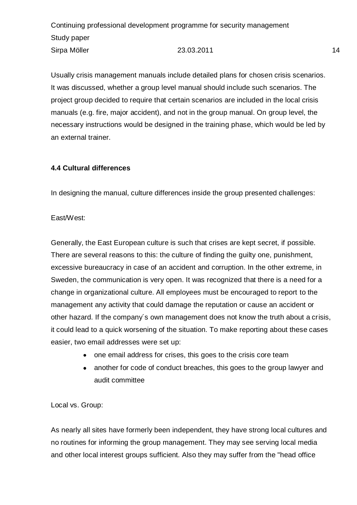Usually crisis management manuals include detailed plans for chosen crisis scenarios. It was discussed, whether a group level manual should include such scenarios. The project group decided to require that certain scenarios are included in the local crisis manuals (e.g. fire, major accident), and not in the group manual. On group level, the necessary instructions would be designed in the training phase, which would be led by an external trainer.

### <span id="page-13-0"></span>**4.4 Cultural differences**

In designing the manual, culture differences inside the group presented challenges:

### East/West:

Generally, the East European culture is such that crises are kept secret, if possible. There are several reasons to this: the culture of finding the guilty one, punishment, excessive bureaucracy in case of an accident and corruption. In the other extreme, in Sweden, the communication is very open. It was recognized that there is a need for a change in organizational culture. All employees must be encouraged to report to the management any activity that could damage the reputation or cause an accident or other hazard. If the company´s own management does not know the truth about a crisis, it could lead to a quick worsening of the situation. To make reporting about these cases easier, two email addresses were set up:

- one email address for crises, this goes to the crisis core team
- another for code of conduct breaches, this goes to the group lawyer and audit committee

Local vs. Group:

As nearly all sites have formerly been independent, they have strong local cultures and no routines for informing the group management. They may see serving local media and other local interest groups sufficient. Also they may suffer from the "head office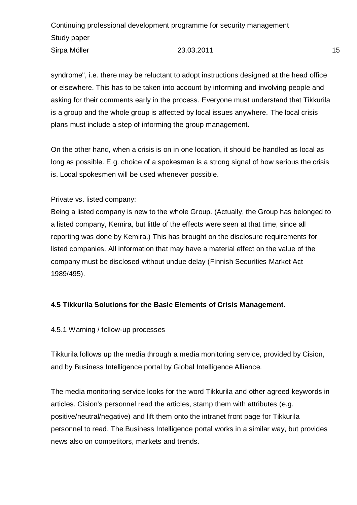syndrome", i.e. there may be reluctant to adopt instructions designed at the head office or elsewhere. This has to be taken into account by informing and involving people and asking for their comments early in the process. Everyone must understand that Tikkurila is a group and the whole group is affected by local issues anywhere. The local crisis plans must include a step of informing the group management.

On the other hand, when a crisis is on in one location, it should be handled as local as long as possible. E.g. choice of a spokesman is a strong signal of how serious the crisis is. Local spokesmen will be used whenever possible.

Private vs. listed company:

Being a listed company is new to the whole Group. (Actually, the Group has belonged to a listed company, Kemira, but little of the effects were seen at that time, since all reporting was done by Kemira.) This has brought on the disclosure requirements for listed companies. All information that may have a material effect on the value of the company must be disclosed without undue delay (Finnish Securities Market Act 1989/495).

### <span id="page-14-0"></span>**4.5 Tikkurila Solutions for the Basic Elements of Crisis Management.**

#### 4.5.1 Warning / follow-up processes

Tikkurila follows up the media through a media monitoring service, provided by Cision, and by Business Intelligence portal by Global Intelligence Alliance.

The media monitoring service looks for the word Tikkurila and other agreed keywords in articles. Cision's personnel read the articles, stamp them with attributes (e.g. positive/neutral/negative) and lift them onto the intranet front page for Tikkurila personnel to read. The Business Intelligence portal works in a similar way, but provides news also on competitors, markets and trends.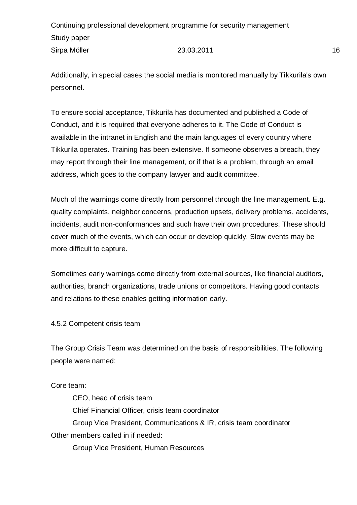Additionally, in special cases the social media is monitored manually by Tikkurila's own personnel.

To ensure social acceptance, Tikkurila has documented and published a Code of Conduct, and it is required that everyone adheres to it. The Code of Conduct is available in the intranet in English and the main languages of every country where Tikkurila operates. Training has been extensive. If someone observes a breach, they may report through their line management, or if that is a problem, through an email address, which goes to the company lawyer and audit committee.

Much of the warnings come directly from personnel through the line management. E.g. quality complaints, neighbor concerns, production upsets, delivery problems, accidents, incidents, audit non-conformances and such have their own procedures. These should cover much of the events, which can occur or develop quickly. Slow events may be more difficult to capture.

Sometimes early warnings come directly from external sources, like financial auditors, authorities, branch organizations, trade unions or competitors. Having good contacts and relations to these enables getting information early.

4.5.2 Competent crisis team

The Group Crisis Team was determined on the basis of responsibilities. The following people were named:

Core team:

CEO, head of crisis team Chief Financial Officer, crisis team coordinator Group Vice President, Communications & IR, crisis team coordinator Other members called in if needed: Group Vice President, Human Resources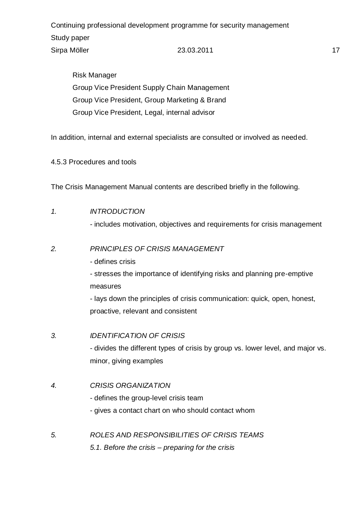Risk Manager Group Vice President Supply Chain Management Group Vice President, Group Marketing & Brand Group Vice President, Legal, internal advisor

In addition, internal and external specialists are consulted or involved as needed.

4.5.3 Procedures and tools

The Crisis Management Manual contents are described briefly in the following.

#### *1. INTRODUCTION*

- includes motivation, objectives and requirements for crisis management

#### *2. PRINCIPLES OF CRISIS MANAGEMENT*

- defines crisis

- stresses the importance of identifying risks and planning pre-emptive measures

- lays down the principles of crisis communication: quick, open, honest, proactive, relevant and consistent

#### *3. IDENTIFICATION OF CRISIS*

- divides the different types of crisis by group vs. lower level, and major vs. minor, giving examples

#### *4. CRISIS ORGANIZATION*

- defines the group-level crisis team
- gives a contact chart on who should contact whom
- *5. ROLES AND RESPONSIBILITIES OF CRISIS TEAMS 5.1. Before the crisis – preparing for the crisis*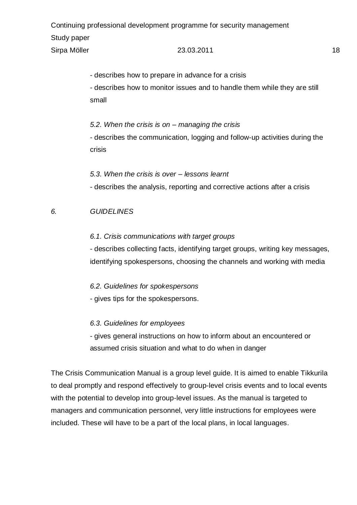- describes how to prepare in advance for a crisis

- describes how to monitor issues and to handle them while they are still small

*5.2. When the crisis is on – managing the crisis*

- describes the communication, logging and follow-up activities during the crisis

*5.3. When the crisis is over – lessons learnt* - describes the analysis, reporting and corrective actions after a crisis

# *6. GUIDELINES*

### *6.1. Crisis communications with target groups*

- describes collecting facts, identifying target groups, writing key messages, identifying spokespersons, choosing the channels and working with media

*6.2. Guidelines for spokespersons*

- gives tips for the spokespersons.

# *6.3. Guidelines for employees*

- gives general instructions on how to inform about an encountered or assumed crisis situation and what to do when in danger

The Crisis Communication Manual is a group level guide. It is aimed to enable Tikkurila to deal promptly and respond effectively to group-level crisis events and to local events with the potential to develop into group-level issues. As the manual is targeted to managers and communication personnel, very little instructions for employees were included. These will have to be a part of the local plans, in local languages.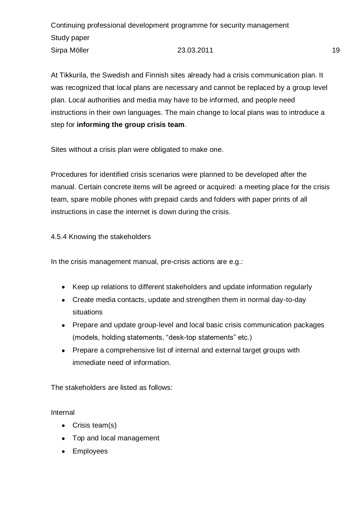At Tikkurila, the Swedish and Finnish sites already had a crisis communication plan. It was recognized that local plans are necessary and cannot be replaced by a group level plan. Local authorities and media may have to be informed, and people need instructions in their own languages. The main change to local plans was to introduce a step for **informing the group crisis team**.

Sites without a crisis plan were obligated to make one.

Procedures for identified crisis scenarios were planned to be developed after the manual. Certain concrete items will be agreed or acquired: a meeting place for the crisis team, spare mobile phones with prepaid cards and folders with paper prints of all instructions in case the internet is down during the crisis.

4.5.4 Knowing the stakeholders

In the crisis management manual, pre-crisis actions are e.g.:

- Keep up relations to different stakeholders and update information regularly
- Create media contacts, update and strengthen them in normal day-to-day situations
- Prepare and update group-level and local basic crisis communication packages (models, holding statements, "desk-top statements" etc.)
- Prepare a comprehensive list of internal and external target groups with immediate need of information.

The stakeholders are listed as follows:

Internal

- Crisis team(s)
- Top and local management
- Employees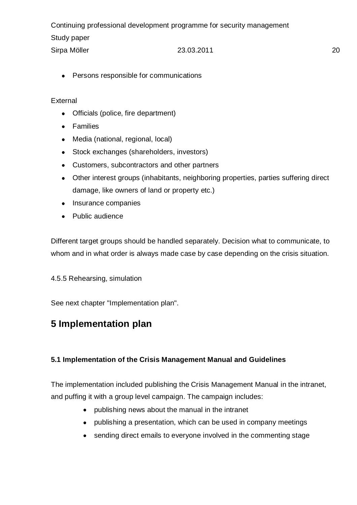• Persons responsible for communications

### External

- Officials (police, fire department)
- Families
- Media (national, regional, local)
- Stock exchanges (shareholders, investors)
- Customers, subcontractors and other partners
- Other interest groups (inhabitants, neighboring properties, parties suffering direct damage, like owners of land or property etc.)
- Insurance companies
- Public audience

Different target groups should be handled separately. Decision what to communicate, to whom and in what order is always made case by case depending on the crisis situation.

4.5.5 Rehearsing, simulation

See next chapter "Implementation plan".

# <span id="page-19-0"></span>**5 Implementation plan**

# <span id="page-19-1"></span>**5.1 Implementation of the Crisis Management Manual and Guidelines**

The implementation included publishing the Crisis Management Manual in the intranet, and puffing it with a group level campaign. The campaign includes:

- publishing news about the manual in the intranet
- publishing a presentation, which can be used in company meetings
- sending direct emails to everyone involved in the commenting stage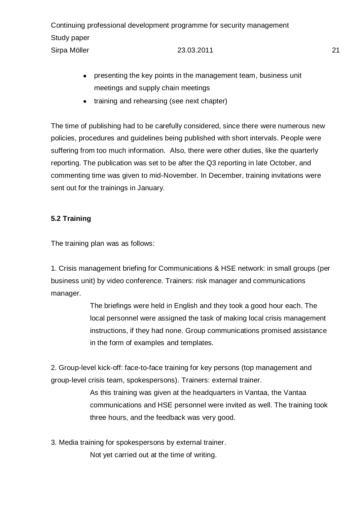- presenting the key points in the management team, business unit meetings and supply chain meetings
- training and rehearsing (see next chapter)

The time of publishing had to be carefully considered, since there were numerous new policies, procedures and guidelines being published with short intervals. People were suffering from too much information. Also, there were other duties, like the quarterly reporting. The publication was set to be after the Q3 reporting in late October, and commenting time was given to mid-November. In December, training invitations were sent out for the trainings in January.

# <span id="page-20-0"></span>**5.2 Training**

The training plan was as follows:

1. Crisis management briefing for Communications & HSE network: in small groups (per business unit) by video conference. Trainers: risk manager and communications manager.

> The briefings were held in English and they took a good hour each. The local personnel were assigned the task of making local crisis management instructions, if they had none. Group communications promised assistance in the form of examples and templates.

2. Group-level kick-off: face-to-face training for key persons (top management and group-level crisis team, spokespersons). Trainers: external trainer.

> As this training was given at the headquarters in Vantaa, the Vantaa communications and HSE personnel were invited as well. The training took three hours, and the feedback was very good.

3. Media training for spokespersons by external trainer.

Not yet carried out at the time of writing.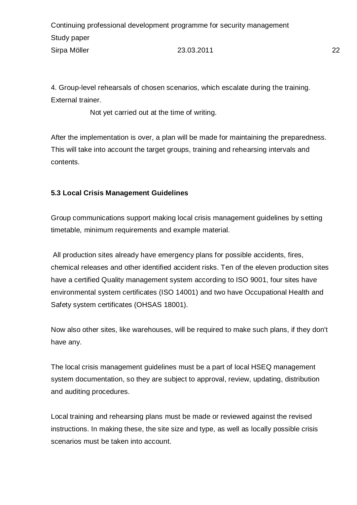4. Group-level rehearsals of chosen scenarios, which escalate during the training. External trainer.

Not yet carried out at the time of writing.

After the implementation is over, a plan will be made for maintaining the preparedness. This will take into account the target groups, training and rehearsing intervals and contents.

# <span id="page-21-0"></span>**5.3 Local Crisis Management Guidelines**

Group communications support making local crisis management guidelines by setting timetable, minimum requirements and example material.

All production sites already have emergency plans for possible accidents, fires, chemical releases and other identified accident risks. Ten of the eleven production sites have a certified Quality management system according to ISO 9001, four sites have environmental system certificates (ISO 14001) and two have Occupational Health and Safety system certificates (OHSAS 18001).

Now also other sites, like warehouses, will be required to make such plans, if they don't have any.

The local crisis management guidelines must be a part of local HSEQ management system documentation, so they are subject to approval, review, updating, distribution and auditing procedures.

Local training and rehearsing plans must be made or reviewed against the revised instructions. In making these, the site size and type, as well as locally possible crisis scenarios must be taken into account.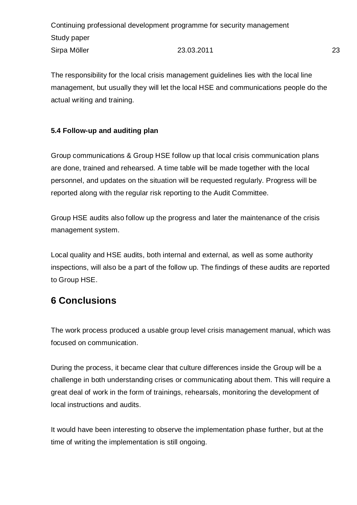The responsibility for the local crisis management guidelines lies with the local line management, but usually they will let the local HSE and communications people do the actual writing and training.

# <span id="page-22-0"></span>**5.4 Follow-up and auditing plan**

Group communications & Group HSE follow up that local crisis communication plans are done, trained and rehearsed. A time table will be made together with the local personnel, and updates on the situation will be requested regularly. Progress will be reported along with the regular risk reporting to the Audit Committee.

Group HSE audits also follow up the progress and later the maintenance of the crisis management system.

Local quality and HSE audits, both internal and external, as well as some authority inspections, will also be a part of the follow up. The findings of these audits are reported to Group HSE.

# <span id="page-22-1"></span>**6 Conclusions**

The work process produced a usable group level crisis management manual, which was focused on communication.

During the process, it became clear that culture differences inside the Group will be a challenge in both understanding crises or communicating about them. This will require a great deal of work in the form of trainings, rehearsals, monitoring the development of local instructions and audits.

It would have been interesting to observe the implementation phase further, but at the time of writing the implementation is still ongoing.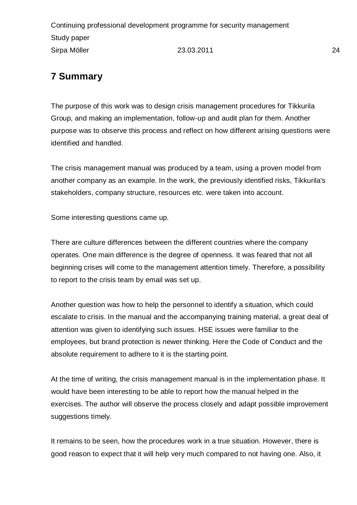# <span id="page-23-0"></span>**7 Summary**

The purpose of this work was to design crisis management procedures for Tikkurila Group, and making an implementation, follow-up and audit plan for them. Another purpose was to observe this process and reflect on how different arising questions were identified and handled.

The crisis management manual was produced by a team, using a proven model from another company as an example. In the work, the previously identified risks, Tikkurila's stakeholders, company structure, resources etc. were taken into account.

Some interesting questions came up.

There are culture differences between the different countries where the company operates. One main difference is the degree of openness. It was feared that not all beginning crises will come to the management attention timely. Therefore, a possibility to report to the crisis team by email was set up.

Another question was how to help the personnel to identify a situation, which could escalate to crisis. In the manual and the accompanying training material, a great deal of attention was given to identifying such issues. HSE issues were familiar to the employees, but brand protection is newer thinking. Here the Code of Conduct and the absolute requirement to adhere to it is the starting point.

At the time of writing, the crisis management manual is in the implementation phase. It would have been interesting to be able to report how the manual helped in the exercises. The author will observe the process closely and adapt possible improvement suggestions timely.

It remains to be seen, how the procedures work in a true situation. However, there is good reason to expect that it will help very much compared to not having one. Also, it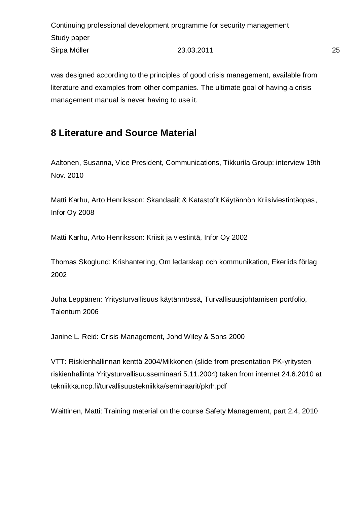was designed according to the principles of good crisis management, available from literature and examples from other companies. The ultimate goal of having a crisis management manual is never having to use it.

# <span id="page-24-0"></span>**8 Literature and Source Material**

Aaltonen, Susanna, Vice President, Communications, Tikkurila Group: interview 19th Nov. 2010

Matti Karhu, Arto Henriksson: Skandaalit & Katastofit Käytännön Kriisiviestintäopas, Infor Oy 2008

Matti Karhu, Arto Henriksson: Kriisit ja viestintä, Infor Oy 2002

Thomas Skoglund: Krishantering, Om ledarskap och kommunikation, Ekerlids förlag 2002

Juha Leppänen: Yritysturvallisuus käytännössä, Turvallisuusjohtamisen portfolio, Talentum 2006

Janine L. Reid: Crisis Management, Johd Wiley & Sons 2000

VTT: Riskienhallinnan kenttä 2004/Mikkonen (slide from presentation PK-yritysten riskienhallinta Yritysturvallisuusseminaari 5.11.2004) taken from internet 24.6.2010 at tekniikka.ncp.fi/turvallisuustekniikka/seminaarit/pkrh.pdf

Waittinen, Matti: Training material on the course Safety Management, part 2.4, 2010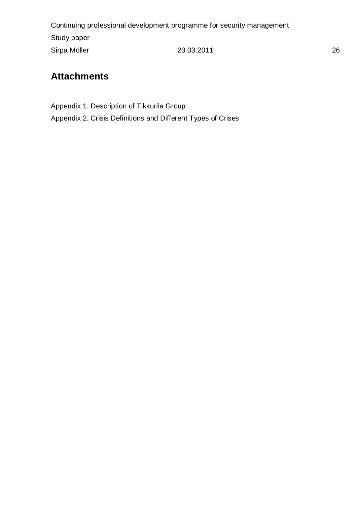# <span id="page-25-0"></span>**Attachments**

Appendix 1. Description of Tikkurila Group Appendix 2. Crisis Definitions and Different Types of Crises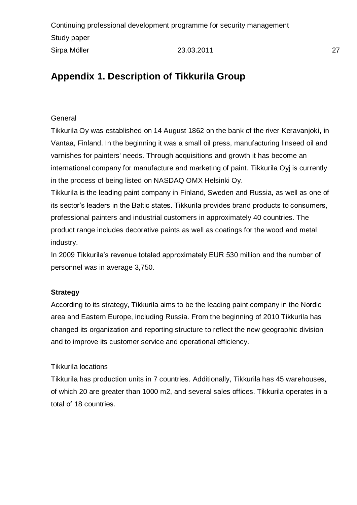# <span id="page-26-0"></span>**Appendix 1. Description of Tikkurila Group**

### **General**

Tikkurila Oy was established on 14 August 1862 on the bank of the river Keravanjoki, in Vantaa, Finland. In the beginning it was a small oil press, manufacturing linseed oil and varnishes for painters' needs. Through acquisitions and growth it has become an international company for manufacture and marketing of paint. Tikkurila Oyj is currently in the process of being listed on NASDAQ OMX Helsinki Oy.

Tikkurila is the leading paint company in Finland, Sweden and Russia, as well as one of its sector's leaders in the Baltic states. Tikkurila provides brand products to consumers, professional painters and industrial customers in approximately 40 countries. The product range includes decorative paints as well as coatings for the wood and metal industry.

In 2009 Tikkurila's revenue totaled approximately EUR 530 million and the number of personnel was in average 3,750.

### **Strategy**

According to its strategy, Tikkurila aims to be the leading paint company in the Nordic area and Eastern Europe, including Russia. From the beginning of 2010 Tikkurila has changed its organization and reporting structure to reflect the new geographic division and to improve its customer service and operational efficiency.

#### Tikkurila locations

Tikkurila has production units in 7 countries. Additionally, Tikkurila has 45 warehouses, of which 20 are greater than 1000 m2, and several sales offices. Tikkurila operates in a total of 18 countries.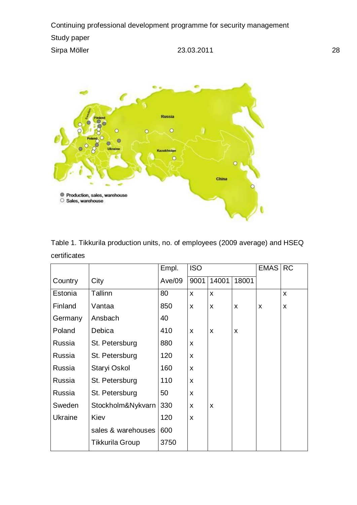

|              |  |  | Table 1. Tikkurila production units, no. of employees (2009 average) and HSEQ |  |  |
|--------------|--|--|-------------------------------------------------------------------------------|--|--|
| certificates |  |  |                                                                               |  |  |

|                |                          | Empl.    | <b>ISO</b> |       |       | <b>EMAS</b> | <b>RC</b> |
|----------------|--------------------------|----------|------------|-------|-------|-------------|-----------|
| Country        | City                     | Ave/09   | 9001       | 14001 | 18001 |             |           |
| Estonia        | Tallinn                  | 80       | X          | X     |       |             | X         |
| Finland        | Vantaa                   | 850      | X          | X     | X     | X           | X         |
| Germany        | Ansbach                  |          |            |       |       |             |           |
| Poland         | Debica                   |          | X          | X     | X     |             |           |
| Russia         | St. Petersburg           | 880      | X          |       |       |             |           |
| Russia         | St. Petersburg           | 120      | X          |       |       |             |           |
| Russia         | Staryi Oskol<br>160<br>X |          |            |       |       |             |           |
| Russia         | St. Petersburg           | 110<br>X |            |       |       |             |           |
| Russia         | St. Petersburg           | 50       | X          |       |       |             |           |
| Sweden         | Stockholm&Nykvarn        | 330      | X          | X     |       |             |           |
| <b>Ukraine</b> | Kiev                     | 120      | X          |       |       |             |           |
|                | sales & warehouses       | 600      |            |       |       |             |           |
|                | <b>Tikkurila Group</b>   | 3750     |            |       |       |             |           |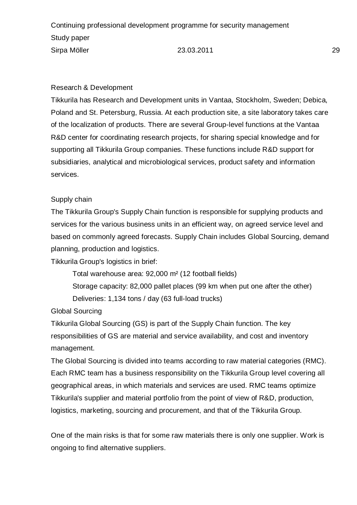### Research & Development

Tikkurila has Research and Development units in Vantaa, Stockholm, Sweden; Debica, Poland and St. Petersburg, Russia. At each production site, a site laboratory takes care of the localization of products. There are several Group-level functions at the Vantaa R&D center for coordinating research projects, for sharing special knowledge and for supporting all Tikkurila Group companies. These functions include R&D support for subsidiaries, analytical and microbiological services, product safety and information services.

### Supply chain

The Tikkurila Group's Supply Chain function is responsible for supplying products and services for the various business units in an efficient way, on agreed service level and based on commonly agreed forecasts. Supply Chain includes Global Sourcing, demand planning, production and logistics.

Tikkurila Group's logistics in brief:

Total warehouse area: 92,000 m² (12 football fields)

Storage capacity: 82,000 pallet places (99 km when put one after the other) Deliveries: 1,134 tons / day (63 full-load trucks)

Global Sourcing

Tikkurila Global Sourcing (GS) is part of the Supply Chain function. The key responsibilities of GS are material and service availability, and cost and inventory management.

The Global Sourcing is divided into teams according to raw material categories (RMC). Each RMC team has a business responsibility on the Tikkurila Group level covering all geographical areas, in which materials and services are used. RMC teams optimize Tikkurila's supplier and material portfolio from the point of view of R&D, production, logistics, marketing, sourcing and procurement, and that of the Tikkurila Group.

One of the main risks is that for some raw materials there is only one supplier. Work is ongoing to find alternative suppliers.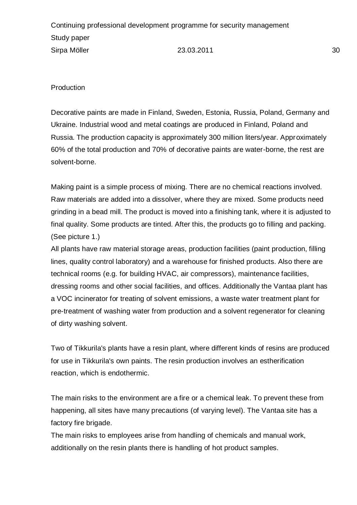**Production** 

Decorative paints are made in Finland, Sweden, Estonia, Russia, Poland, Germany and Ukraine. Industrial wood and metal coatings are produced in Finland, Poland and Russia. The production capacity is approximately 300 million liters/year. Approximately 60% of the total production and 70% of decorative paints are water-borne, the rest are solvent-borne.

Making paint is a simple process of mixing. There are no chemical reactions involved. Raw materials are added into a dissolver, where they are mixed. Some products need grinding in a bead mill. The product is moved into a finishing tank, where it is adjusted to final quality. Some products are tinted. After this, the products go to filling and packing. (See picture 1.)

All plants have raw material storage areas, production facilities (paint production, filling lines, quality control laboratory) and a warehouse for finished products. Also there are technical rooms (e.g. for building HVAC, air compressors), maintenance facilities, dressing rooms and other social facilities, and offices. Additionally the Vantaa plant has a VOC incinerator for treating of solvent emissions, a waste water treatment plant for pre-treatment of washing water from production and a solvent regenerator for cleaning of dirty washing solvent.

Two of Tikkurila's plants have a resin plant, where different kinds of resins are produced for use in Tikkurila's own paints. The resin production involves an estherification reaction, which is endothermic.

The main risks to the environment are a fire or a chemical leak. To prevent these from happening, all sites have many precautions (of varying level). The Vantaa site has a factory fire brigade.

The main risks to employees arise from handling of chemicals and manual work, additionally on the resin plants there is handling of hot product samples.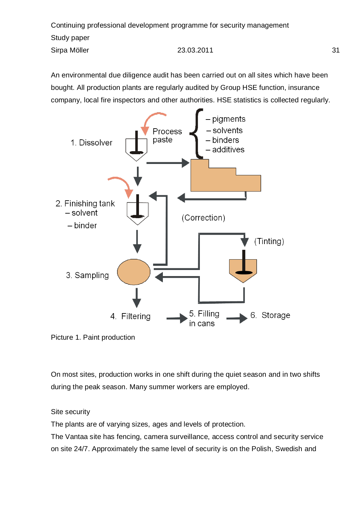An environmental due diligence audit has been carried out on all sites which have been bought. All production plants are regularly audited by Group HSE function, insurance company, local fire inspectors and other authorities. HSE statistics is collected regularly.



Picture 1. Paint production

On most sites, production works in one shift during the quiet season and in two shifts during the peak season. Many summer workers are employed.

Site security

The plants are of varying sizes, ages and levels of protection.

The Vantaa site has fencing, camera surveillance, access control and security service on site 24/7. Approximately the same level of security is on the Polish, Swedish and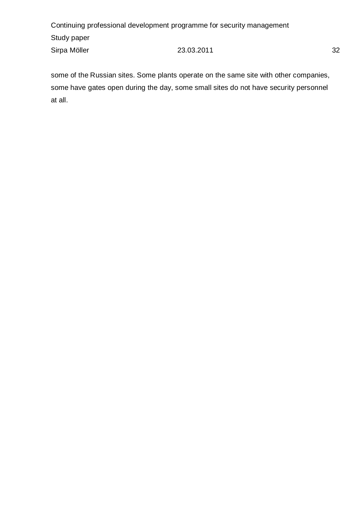some of the Russian sites. Some plants operate on the same site with other companies, some have gates open during the day, some small sites do not have security personnel at all.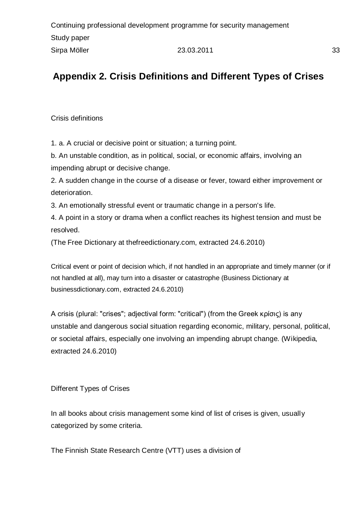# <span id="page-32-0"></span>**Appendix 2. Crisis Definitions and Different Types of Crises**

Crisis definitions

1. a. A crucial or decisive point or situation; a turning point.

b. An unstable condition, as in political, social, or economic affairs, involving an impending abrupt or decisive change.

2. A sudden change in the course of a disease or fever, toward either improvement or deterioration.

3. An emotionally stressful event or traumatic change in a person's life.

4. A point in a story or drama when a conflict reaches its highest tension and must be resolved.

(The Free Dictionary at thefreedictionary.com, extracted 24.6.2010)

Critical [event](http://www.businessdictionary.com/definition/event.html) or point of [decision](http://www.businessdictionary.com/definition/decision.html) which, if not handled in an appropriate and timely manner (or if not handled at all), may turn into a [disaster](http://www.businessdictionary.com/definition/disaster.html) or [catastrophe](http://www.businessdictionary.com/definition/catastrophe.html) (Business Dictionary at businessdictionary.com, extracted 24.6.2010)

A crisis (plural: "crises"; adjectival form: "critical") (from the Greek κρίσις) is any unstable and dangerous social situation regarding economic, military, personal, political, or societal affairs, especially one involving an impending abrupt change. (Wikipedia, extracted 24.6.2010)

Different Types of Crises

In all books about crisis management some kind of list of crises is given, usually categorized by some criteria.

The Finnish State Research Centre (VTT) uses a division of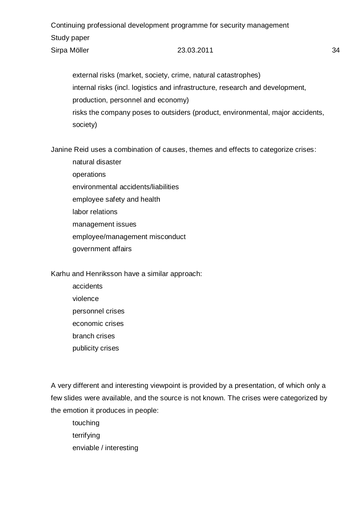external risks (market, society, crime, natural catastrophes) internal risks (incl. logistics and infrastructure, research and development, production, personnel and economy) risks the company poses to outsiders (product, environmental, major accidents, society)

Janine Reid uses a combination of causes, themes and effects to categorize crises:

natural disaster operations environmental accidents/liabilities employee safety and health labor relations management issues employee/management misconduct government affairs

Karhu and Henriksson have a similar approach:

accidents violence personnel crises economic crises branch crises publicity crises

A very different and interesting viewpoint is provided by a presentation, of which only a few slides were available, and the source is not known. The crises were categorized by the emotion it produces in people:

touching terrifying enviable / interesting